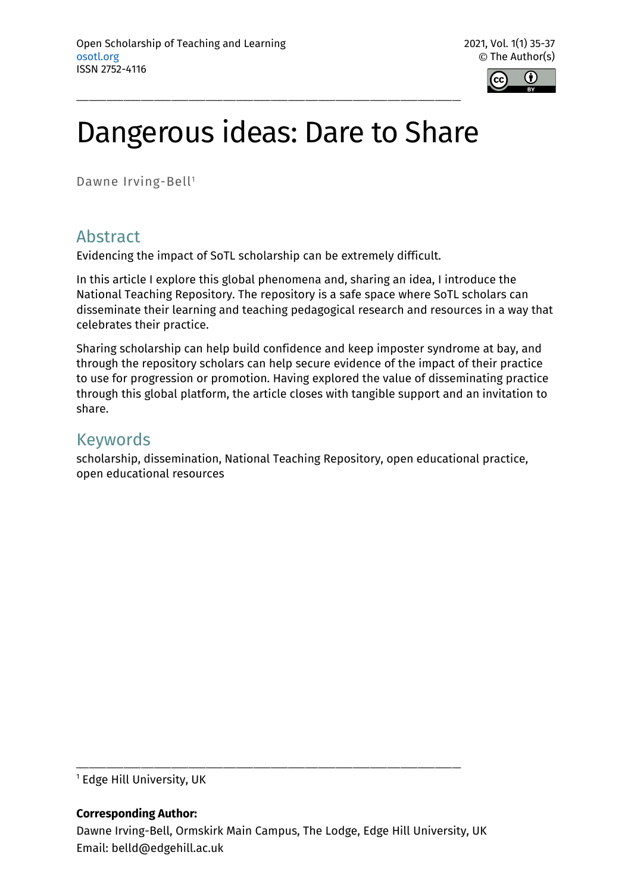

# Dangerous ideas: Dare to Share

\_\_\_\_\_\_\_\_\_\_\_\_\_\_\_\_\_\_\_\_\_\_\_\_\_\_\_\_\_\_\_\_\_\_\_\_\_\_\_\_\_\_\_\_\_\_\_\_\_\_\_\_\_\_\_\_\_\_\_\_\_\_\_\_\_\_\_\_\_\_\_\_\_\_\_\_\_\_\_\_\_\_\_\_\_\_\_\_\_

Dawne Irving-Bell<sup>1</sup>

## Abstract

Evidencing the impact of SoTL scholarship can be extremely difficult.

In this article I explore this global phenomena and, sharing an idea, I introduce the National Teaching Repository. The repository is a safe space where SoTL scholars can disseminate their learning and teaching pedagogical research and resources in a way that celebrates their practice.

Sharing scholarship can help build confidence and keep imposter syndrome at bay, and through the repository scholars can help secure evidence of the impact of their practice to use for progression or promotion. Having explored the value of disseminating practice through this global platform, the article closes with tangible support and an invitation to share.

## Keywords

scholarship, dissemination, National Teaching Repository, open educational practice, open educational resources

<sup>1</sup> Edge Hill University, UK

#### **Corresponding Author:**

\_\_\_\_\_\_\_\_\_\_\_\_\_\_\_\_\_\_\_\_\_\_\_\_\_\_\_\_\_\_\_\_\_\_\_\_\_\_\_\_\_\_\_\_\_\_\_\_\_\_\_\_\_\_\_\_\_\_\_\_\_\_\_\_\_\_\_\_\_\_\_\_\_\_\_\_\_\_\_\_\_\_\_\_\_\_\_\_\_

Dawne Irving-Bell, Ormskirk Main Campus, The Lodge, Edge Hill University, UK Email: belld@edgehill.ac.uk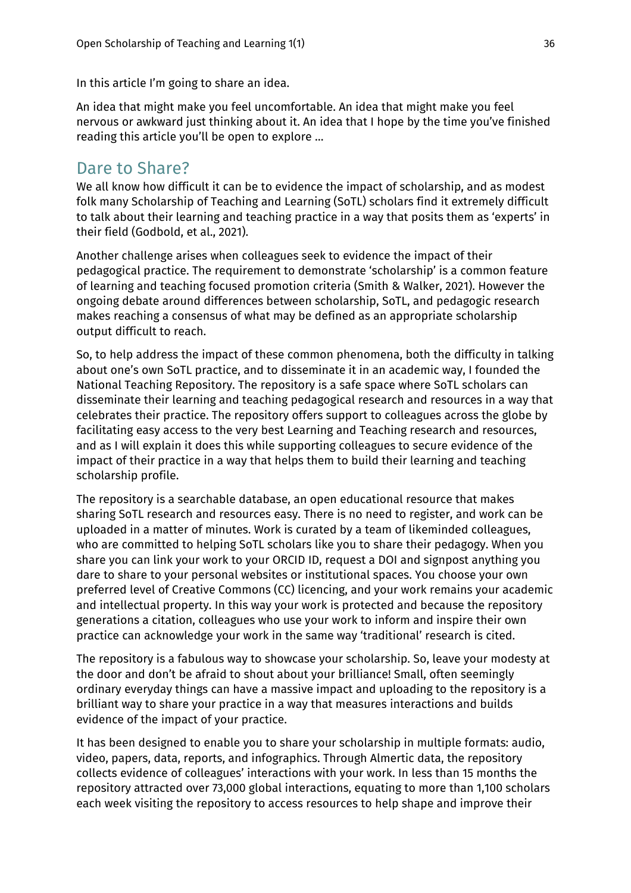In this article I'm going to share an idea.

An idea that might make you feel uncomfortable. An idea that might make you feel nervous or awkward just thinking about it. An idea that I hope by the time you've finished reading this article you'll be open to explore …

#### Dare to Share?

We all know how difficult it can be to evidence the impact of scholarship, and as modest folk many Scholarship of Teaching and Learning (SoTL) scholars find it extremely difficult to talk about their learning and teaching practice in a way that posits them as 'experts' in their field (Godbold, et al., 2021).

Another challenge arises when colleagues seek to evidence the impact of their pedagogical practice. The requirement to demonstrate 'scholarship' is a common feature of learning and teaching focused promotion criteria (Smith & Walker, 2021). However the ongoing debate around differences between scholarship, SoTL, and pedagogic research makes reaching a consensus of what may be defined as an appropriate scholarship output difficult to reach.

So, to help address the impact of these common phenomena, both the difficulty in talking about one's own SoTL practice, and to disseminate it in an academic way, I founded the National Teaching Repository. The repository is a safe space where SoTL scholars can disseminate their learning and teaching pedagogical research and resources in a way that celebrates their practice. The repository offers support to colleagues across the globe by facilitating easy access to the very best Learning and Teaching research and resources, and as I will explain it does this while supporting colleagues to secure evidence of the impact of their practice in a way that helps them to build their learning and teaching scholarship profile.

The repository is a searchable database, an open educational resource that makes sharing SoTL research and resources easy. There is no need to register, and work can be uploaded in a matter of minutes. Work is curated by a team of likeminded colleagues, who are committed to helping SoTL scholars like you to share their pedagogy. When you share you can link your work to your ORCID ID, request a DOI and signpost anything you dare to share to your personal websites or institutional spaces. You choose your own preferred level of Creative Commons (CC) licencing, and your work remains your academic and intellectual property. In this way your work is protected and because the repository generations a citation, colleagues who use your work to inform and inspire their own practice can acknowledge your work in the same way 'traditional' research is cited.

The repository is a fabulous way to showcase your scholarship. So, leave your modesty at the door and don't be afraid to shout about your brilliance! Small, often seemingly ordinary everyday things can have a massive impact and uploading to the repository is a brilliant way to share your practice in a way that measures interactions and builds evidence of the impact of your practice.

It has been designed to enable you to share your scholarship in multiple formats: audio, video, papers, data, reports, and infographics. Through Almertic data, the repository collects evidence of colleagues' interactions with your work. In less than 15 months the repository attracted over 73,000 global interactions, equating to more than 1,100 scholars each week visiting the repository to access resources to help shape and improve their